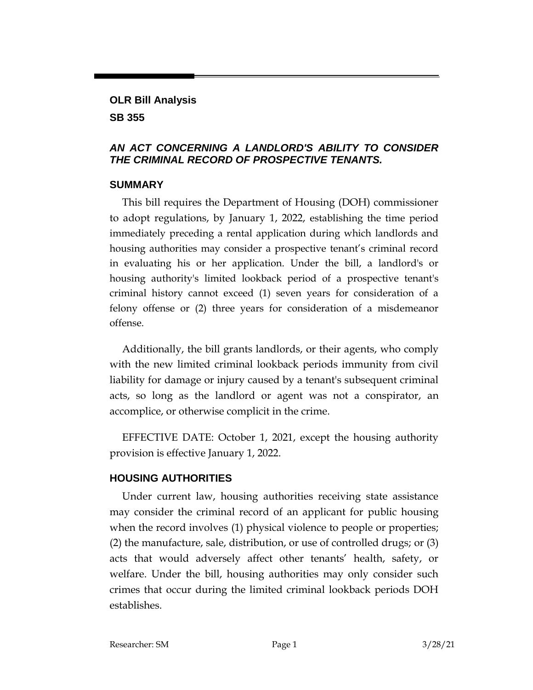# **OLR Bill Analysis SB 355**

#### *AN ACT CONCERNING A LANDLORD'S ABILITY TO CONSIDER THE CRIMINAL RECORD OF PROSPECTIVE TENANTS.*

#### **SUMMARY**

This bill requires the Department of Housing (DOH) commissioner to adopt regulations, by January 1, 2022, establishing the time period immediately preceding a rental application during which landlords and housing authorities may consider a prospective tenant's criminal record in evaluating his or her application. Under the bill, a landlord's or housing authority's limited lookback period of a prospective tenant's criminal history cannot exceed (1) seven years for consideration of a felony offense or (2) three years for consideration of a misdemeanor offense.

Additionally, the bill grants landlords, or their agents, who comply with the new limited criminal lookback periods immunity from civil liability for damage or injury caused by a tenant's subsequent criminal acts, so long as the landlord or agent was not a conspirator, an accomplice, or otherwise complicit in the crime.

EFFECTIVE DATE: October 1, 2021, except the housing authority provision is effective January 1, 2022.

### **HOUSING AUTHORITIES**

Under current law, housing authorities receiving state assistance may consider the criminal record of an applicant for public housing when the record involves (1) physical violence to people or properties; (2) the manufacture, sale, distribution, or use of controlled drugs; or (3) acts that would adversely affect other tenants' health, safety, or welfare. Under the bill, housing authorities may only consider such crimes that occur during the limited criminal lookback periods DOH establishes.